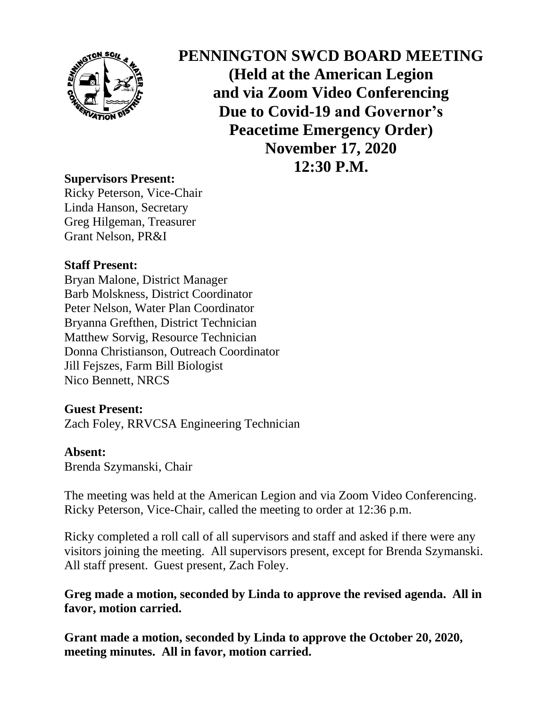

**PENNINGTON SWCD BOARD MEETING (Held at the American Legion and via Zoom Video Conferencing Due to Covid-19 and Governor's Peacetime Emergency Order) November 17, 2020 12:30 P.M.**

# **Supervisors Present:**

Ricky Peterson, Vice-Chair Linda Hanson, Secretary Greg Hilgeman, Treasurer Grant Nelson, PR&I

## **Staff Present:**

Bryan Malone, District Manager Barb Molskness, District Coordinator Peter Nelson, Water Plan Coordinator Bryanna Grefthen, District Technician Matthew Sorvig, Resource Technician Donna Christianson, Outreach Coordinator Jill Fejszes, Farm Bill Biologist Nico Bennett, NRCS

## **Guest Present:**

Zach Foley, RRVCSA Engineering Technician

#### **Absent:**

Brenda Szymanski, Chair

The meeting was held at the American Legion and via Zoom Video Conferencing. Ricky Peterson, Vice-Chair, called the meeting to order at 12:36 p.m.

Ricky completed a roll call of all supervisors and staff and asked if there were any visitors joining the meeting. All supervisors present, except for Brenda Szymanski. All staff present. Guest present, Zach Foley.

# **Greg made a motion, seconded by Linda to approve the revised agenda. All in favor, motion carried.**

**Grant made a motion, seconded by Linda to approve the October 20, 2020, meeting minutes. All in favor, motion carried.**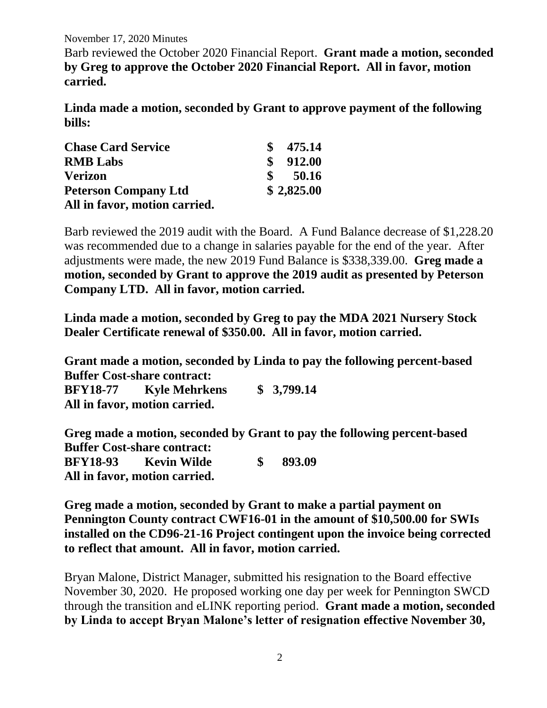November 17, 2020 Minutes

Barb reviewed the October 2020 Financial Report. **Grant made a motion, seconded by Greg to approve the October 2020 Financial Report. All in favor, motion carried.**

**Linda made a motion, seconded by Grant to approve payment of the following bills:**

| <b>Chase Card Service</b>     | 475.14     |
|-------------------------------|------------|
| <b>RMB</b> Labs               | 912.00     |
| <b>Verizon</b>                | 50.16      |
| <b>Peterson Company Ltd</b>   | \$2,825.00 |
| All in favor, motion carried. |            |

Barb reviewed the 2019 audit with the Board. A Fund Balance decrease of \$1,228.20 was recommended due to a change in salaries payable for the end of the year. After adjustments were made, the new 2019 Fund Balance is \$338,339.00. **Greg made a motion, seconded by Grant to approve the 2019 audit as presented by Peterson Company LTD. All in favor, motion carried.** 

**Linda made a motion, seconded by Greg to pay the MDA 2021 Nursery Stock Dealer Certificate renewal of \$350.00. All in favor, motion carried.**

**Grant made a motion, seconded by Linda to pay the following percent-based Buffer Cost-share contract: BFY18-77 Kyle Mehrkens \$ 3,799.14 All in favor, motion carried.**

**Greg made a motion, seconded by Grant to pay the following percent-based Buffer Cost-share contract: BFY18-93 Kevin Wilde \$ 893.09 All in favor, motion carried.**

**Greg made a motion, seconded by Grant to make a partial payment on Pennington County contract CWF16-01 in the amount of \$10,500.00 for SWIs installed on the CD96-21-16 Project contingent upon the invoice being corrected to reflect that amount. All in favor, motion carried.**

Bryan Malone, District Manager, submitted his resignation to the Board effective November 30, 2020. He proposed working one day per week for Pennington SWCD through the transition and eLINK reporting period. **Grant made a motion, seconded by Linda to accept Bryan Malone's letter of resignation effective November 30,**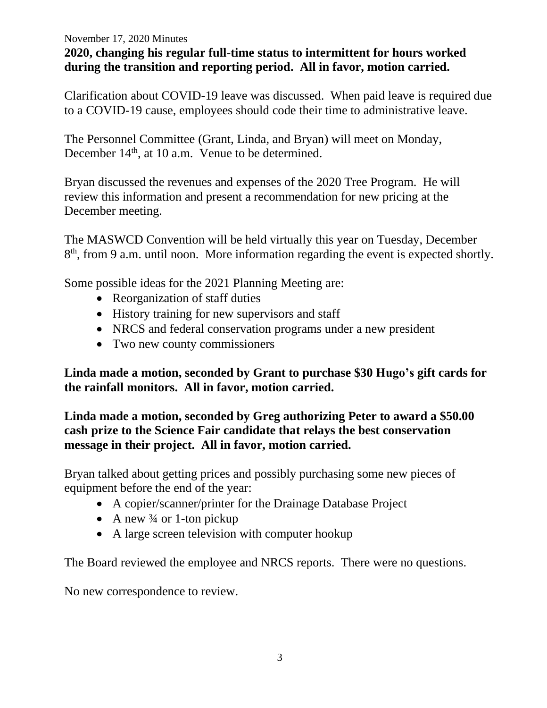#### November 17, 2020 Minutes

# **2020, changing his regular full-time status to intermittent for hours worked during the transition and reporting period. All in favor, motion carried.**

Clarification about COVID-19 leave was discussed. When paid leave is required due to a COVID-19 cause, employees should code their time to administrative leave.

The Personnel Committee (Grant, Linda, and Bryan) will meet on Monday, December  $14<sup>th</sup>$ , at 10 a.m. Venue to be determined.

Bryan discussed the revenues and expenses of the 2020 Tree Program. He will review this information and present a recommendation for new pricing at the December meeting.

The MASWCD Convention will be held virtually this year on Tuesday, December 8<sup>th</sup>, from 9 a.m. until noon. More information regarding the event is expected shortly.

Some possible ideas for the 2021 Planning Meeting are:

- Reorganization of staff duties
- History training for new supervisors and staff
- NRCS and federal conservation programs under a new president
- Two new county commissioners

**Linda made a motion, seconded by Grant to purchase \$30 Hugo's gift cards for the rainfall monitors. All in favor, motion carried.**

**Linda made a motion, seconded by Greg authorizing Peter to award a \$50.00 cash prize to the Science Fair candidate that relays the best conservation message in their project. All in favor, motion carried.** 

Bryan talked about getting prices and possibly purchasing some new pieces of equipment before the end of the year:

- A copier/scanner/printer for the Drainage Database Project
- A new  $\frac{3}{4}$  or 1-ton pickup
- A large screen television with computer hookup

The Board reviewed the employee and NRCS reports. There were no questions.

No new correspondence to review.